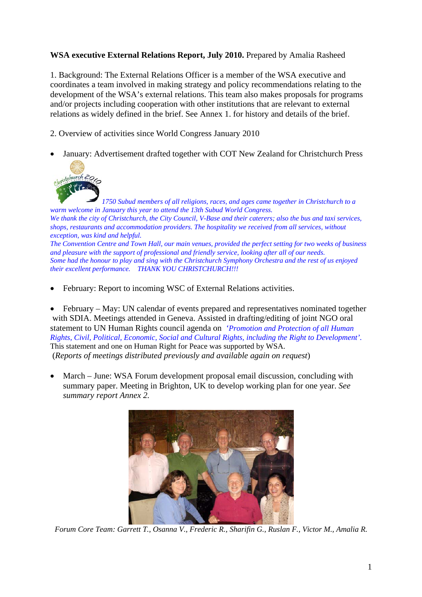## **WSA executive External Relations Report, July 2010.** Prepared by Amalia Rasheed

1. Background: The External Relations Officer is a member of the WSA executive and coordinates a team involved in making strategy and policy recommendations relating to the development of the WSA's external relations. This team also makes proposals for programs and/or projects including cooperation with other institutions that are relevant to external relations as widely defined in the brief. See Annex 1. for history and details of the brief.

2. Overview of activities since World Congress January 2010

• January: Advertisement drafted together with COT New Zealand for Christchurch Press



*1750 Subud members of all religions, races, and ages came together in Christchurch to a warm welcome in January this year to attend the 13th Subud World Congress. We thank the city of Christchurch, the City Council, V-Base and their caterers; also the bus and taxi services, shops, restaurants and accommodation providers. The hospitality we received from all services, without exception, was kind and helpful. The Convention Centre and Town Hall, our main venues, provided the perfect setting for two weeks of business and pleasure with the support of professional and friendly service, looking after all of our needs. Some had the honour to play and sing with the Christchurch Symphony Orchestra and the rest of us enjoyed their excellent performance. THANK YOU CHRISTCHURCH!!!*

February: Report to incoming WSC of External Relations activities.

• February – May: UN calendar of events prepared and representatives nominated together with SDIA. Meetings attended in Geneva. Assisted in drafting/editing of joint NGO oral statement to UN Human Rights council agenda on *'Promotion and Protection of all Human Rights, Civil, Political, Economic, Social and Cultural Rights, including the Right to Development'*. This statement and one on Human Right for Peace was supported by WSA. (*Reports of meetings distributed previously and available again on request*)

• March – June: WSA Forum development proposal email discussion, concluding with summary paper. Meeting in Brighton, UK to develop working plan for one year. *See summary report Annex 2.* 



*Forum Core Team: Garrett T., Osanna V., Frederic R., Sharifin G., Ruslan F., Victor M., Amalia R.*